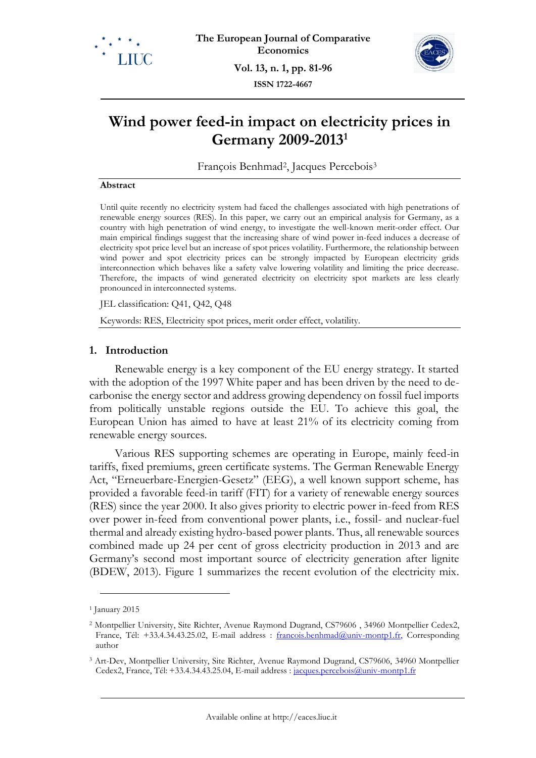



**ISSN 1722-4667**

# **Wind power feed-in impact on electricity prices in Germany 2009-2013<sup>1</sup>**

François Benhmad<sup>2</sup>, Jacques Percebois<sup>3</sup>

#### **Abstract**

Until quite recently no electricity system had faced the challenges associated with high penetrations of renewable energy sources (RES). In this paper, we carry out an empirical analysis for Germany, as a country with high penetration of wind energy, to investigate the well-known merit-order effect. Our main empirical findings suggest that the increasing share of wind power in-feed induces a decrease of electricity spot price level but an increase of spot prices volatility. Furthermore, the relationship between wind power and spot electricity prices can be strongly impacted by European electricity grids interconnection which behaves like a safety valve lowering volatility and limiting the price decrease. Therefore, the impacts of wind generated electricity on electricity spot markets are less clearly pronounced in interconnected systems.

JEL classification: Q41, Q42, Q48

Keywords: RES, Electricity spot prices, merit order effect, volatility.

# **1. Introduction**

Renewable energy is a key component of the EU energy strategy. It started with the adoption of the 1997 White paper and has been driven by the need to decarbonise the energy sector and address growing dependency on fossil fuel imports from politically unstable regions outside the EU. To achieve this goal, the European Union has aimed to have at least 21% of its electricity coming from renewable energy sources.

Various RES supporting schemes are operating in Europe, mainly feed-in tariffs, fixed premiums, green certificate systems. The German Renewable Energy Act, "Erneuerbare-Energien-Gesetz" (EEG), a well known support scheme, has provided a favorable feed-in tariff (FIT) for a variety of renewable energy sources (RES) since the year 2000. It also gives priority to electric power in-feed from RES over power in-feed from conventional power plants, i.e., fossil- and nuclear-fuel thermal and already existing hydro-based power plants. Thus, all renewable sources combined made up 24 per cent of gross electricity production in 2013 and are Germany's second most important source of electricity generation after lignite (BDEW, 2013). Figure 1 summarizes the recent evolution of the electricity mix.

<sup>1</sup> January 2015

<sup>&</sup>lt;sup>2</sup> Montpellier University, Site Richter, Avenue Raymond Dugrand, CS79606, 34960 Montpellier Cedex2, France, Tél: +33.4.34.43.25.02, E-mail address : [francois.benhmad@univ-montp1.fr,](mailto:francois.benhmad@univ-montp1.fr) Corresponding author

<sup>3</sup> Art-Dev, Montpellier University, Site Richter, Avenue Raymond Dugrand, CS79606, 34960 Montpellier Cedex2, France, Tél: +33.4.34.43.25.04, E-mail address : [jacques.percebois@univ-montp1.fr](mailto:jacques.percebois@univ-montp1.fr)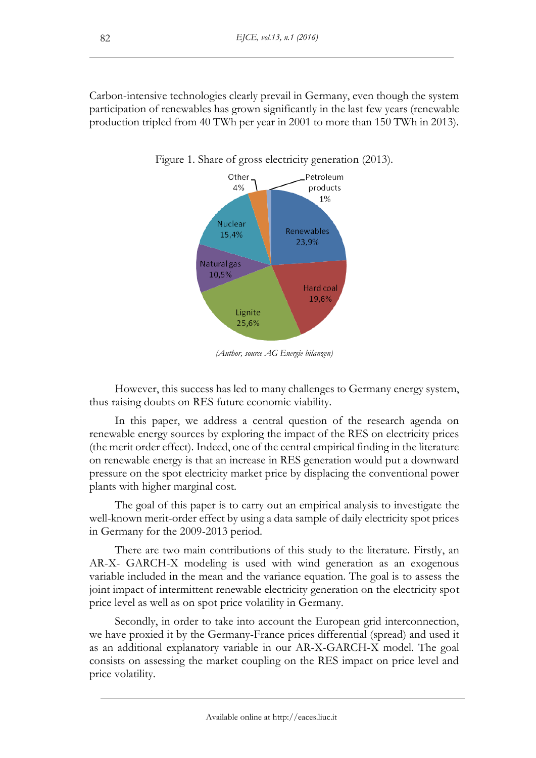Carbon-intensive technologies clearly prevail in Germany, even though the system participation of renewables has grown significantly in the last few years (renewable production tripled from 40 TWh per year in 2001 to more than 150 TWh in 2013).



Figure 1. Share of gross electricity generation (2013).

*(Author, source AG Energie bilanzen)*

However, this success has led to many challenges to Germany energy system, thus raising doubts on RES future economic viability.

In this paper, we address a central question of the research agenda on renewable energy sources by exploring the impact of the RES on electricity prices (the merit order effect). Indeed, one of the central empirical finding in the literature on renewable energy is that an increase in RES generation would put a downward pressure on the spot electricity market price by displacing the conventional power plants with higher marginal cost.

The goal of this paper is to carry out an empirical analysis to investigate the well-known merit-order effect by using a data sample of daily electricity spot prices in Germany for the 2009-2013 period.

There are two main contributions of this study to the literature. Firstly, an AR-X- GARCH-X modeling is used with wind generation as an exogenous variable included in the mean and the variance equation. The goal is to assess the joint impact of intermittent renewable electricity generation on the electricity spot price level as well as on spot price volatility in Germany.

Secondly, in order to take into account the European grid interconnection, we have proxied it by the Germany-France prices differential (spread) and used it as an additional explanatory variable in our AR-X-GARCH-X model. The goal consists on assessing the market coupling on the RES impact on price level and price volatility.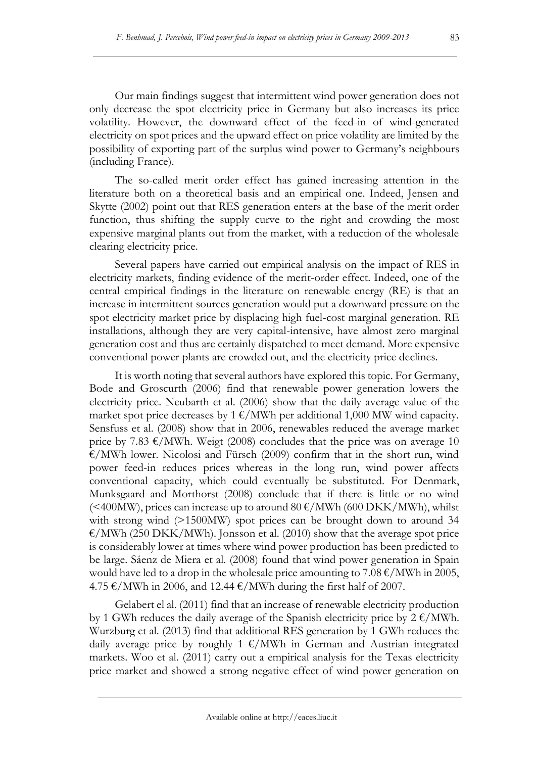Our main findings suggest that intermittent wind power generation does not only decrease the spot electricity price in Germany but also increases its price volatility. However, the downward effect of the feed-in of wind-generated electricity on spot prices and the upward effect on price volatility are limited by the possibility of exporting part of the surplus wind power to Germany's neighbours (including France).

The so-called merit order effect has gained increasing attention in the literature both on a theoretical basis and an empirical one. Indeed, Jensen and Skytte (2002) point out that RES generation enters at the base of the merit order function, thus shifting the supply curve to the right and crowding the most expensive marginal plants out from the market, with a reduction of the wholesale clearing electricity price.

Several papers have carried out empirical analysis on the impact of RES in electricity markets, finding evidence of the merit-order effect. Indeed, one of the central empirical findings in the literature on renewable energy (RE) is that an increase in intermittent sources generation would put a downward pressure on the spot electricity market price by displacing high fuel-cost marginal generation. RE installations, although they are very capital-intensive, have almost zero marginal generation cost and thus are certainly dispatched to meet demand. More expensive conventional power plants are crowded out, and the electricity price declines.

It is worth noting that several authors have explored this topic. For Germany, Bode and Groscurth (2006) find that renewable power generation lowers the electricity price. Neubarth et al. (2006) show that the daily average value of the market spot price decreases by 1  $\epsilon$ /MWh per additional 1,000 MW wind capacity. Sensfuss et al. (2008) show that in 2006, renewables reduced the average market price by 7.83  $\epsilon$ /MWh. Weigt (2008) concludes that the price was on average 10  $E/MWh$  lower. Nicolosi and Fürsch (2009) confirm that in the short run, wind power feed-in reduces prices whereas in the long run, wind power affects conventional capacity, which could eventually be substituted. For Denmark, Munksgaard and Morthorst (2008) conclude that if there is little or no wind (<400MW), prices can increase up to around  $80 \text{ E}/\text{MWh}$  (600 DKK/MWh), whilst with strong wind ( $>1500$ MW) spot prices can be brought down to around 34  $\epsilon$ /MWh (250 DKK/MWh). Jonsson et al. (2010) show that the average spot price is considerably lower at times where wind power production has been predicted to be large. Sáenz de Miera et al. (2008) found that wind power generation in Spain would have led to a drop in the wholesale price amounting to  $7.08 \text{ E}/\text{MWh}$  in 2005, 4.75 €/MWh in 2006, and 12.44 €/MWh during the first half of 2007.

Gelabert el al. (2011) find that an increase of renewable electricity production by 1 GWh reduces the daily average of the Spanish electricity price by  $2 \frac{\epsilon}{MWh}$ . Wurzburg et al. (2013) find that additional RES generation by 1 GWh reduces the daily average price by roughly 1  $\epsilon/MWh$  in German and Austrian integrated markets. Woo et al. (2011) carry out a empirical analysis for the Texas electricity price market and showed a strong negative effect of wind power generation on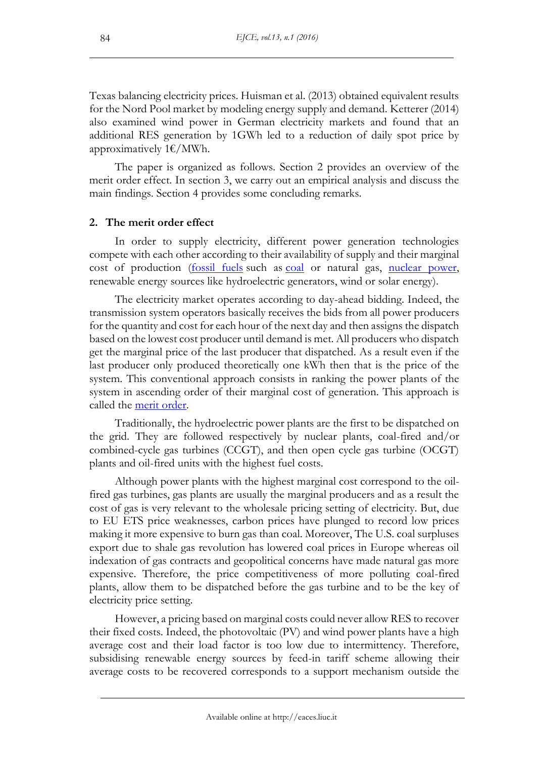Texas balancing electricity prices. Huisman et al. (2013) obtained equivalent results for the Nord Pool market by modeling energy supply and demand. Ketterer (2014) also examined wind power in German electricity markets and found that an additional RES generation by 1GWh led to a reduction of daily spot price by approximatively  $1 \text{\textsterling}/\text{MWh}$ .

The paper is organized as follows. Section 2 provides an overview of the merit order effect. In section 3, we carry out an empirical analysis and discuss the main findings. Section 4 provides some concluding remarks.

## **2. The merit order effect**

In order to supply electricity, different power generation technologies compete with each other according to their availability of supply and their marginal cost of production [\(fossil fuels](http://en.wikipedia.org/wiki/Fossil_fuel) such as [coal](http://en.wikipedia.org/wiki/Coal) or natural gas, [nuclear power,](http://en.wikipedia.org/wiki/Nuclear_power) renewable energy sources like hydroelectric generators, wind or solar energy).

The electricity market operates according to day-ahead bidding. Indeed, the transmission system operators basically receives the bids from all power producers for the quantity and cost for each hour of the next day and then assigns the dispatch based on the lowest cost producer until demand is met. All producers who dispatch get the marginal price of the last producer that dispatched. As a result even if the last producer only produced theoretically one kWh then that is the price of the system. This conventional approach consists in ranking the power plants of the system in ascending order of their marginal cost of generation. This approach is called the <u>merit order</u>.

Traditionally, the hydroelectric power plants are the first to be dispatched on the grid. They are followed respectively by nuclear plants, coal-fired and/or combined-cycle gas turbines (CCGT), and then open cycle gas turbine (OCGT) plants and oil-fired units with the highest fuel costs.

Although power plants with the highest marginal cost correspond to the oilfired gas turbines, gas plants are usually the marginal producers and as a result the cost of gas is very relevant to the wholesale pricing setting of electricity. But, due to EU ETS price weaknesses, carbon prices have plunged to record low prices making it more expensive to burn gas than coal. Moreover, The U.S. coal surpluses export due to shale gas revolution has lowered coal prices in Europe whereas oil indexation of gas contracts and geopolitical concerns have made natural gas more expensive. Therefore, the price competitiveness of more polluting coal-fired plants, allow them to be dispatched before the gas turbine and to be the key of electricity price setting.

However, a pricing based on marginal costs could never allow RES to recover their fixed costs. Indeed, the photovoltaic (PV) and wind power plants have a high average cost and their load factor is too low due to intermittency. Therefore, subsidising renewable energy sources by feed-in tariff scheme allowing their average costs to be recovered corresponds to a support mechanism outside the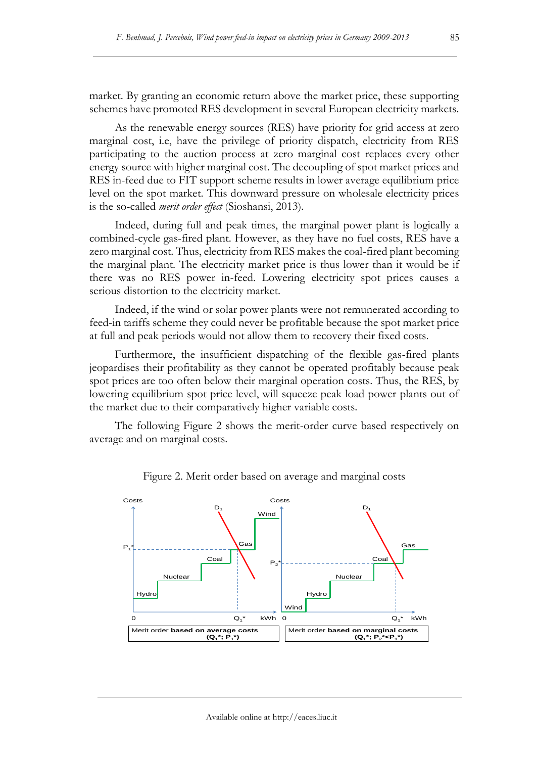market. By granting an economic return above the market price, these supporting schemes have promoted RES development in several European electricity markets.

As the renewable energy sources (RES) have priority for grid access at zero marginal cost, i.e, have the privilege of priority dispatch, electricity from RES participating to the auction process at zero marginal cost replaces every other energy source with higher marginal cost. The decoupling of spot market prices and RES in-feed due to FIT support scheme results in lower average equilibrium price level on the spot market. This downward pressure on wholesale electricity prices is the so-called *merit order effect* (Sioshansi, 2013).

Indeed, during full and peak times, the marginal power plant is logically a combined-cycle gas-fired plant. However, as they have no fuel costs, RES have a zero marginal cost. Thus, electricity from RES makes the coal-fired plant becoming the marginal plant. The electricity market price is thus lower than it would be if there was no RES power in-feed. Lowering electricity spot prices causes a serious distortion to the electricity market.

Indeed, if the wind or solar power plants were not remunerated according to feed-in tariffs scheme they could never be profitable because the spot market price at full and peak periods would not allow them to recovery their fixed costs.

Furthermore, the insufficient dispatching of the flexible gas-fired plants jeopardises their profitability as they cannot be operated profitably because peak spot prices are too often below their marginal operation costs. Thus, the RES, by lowering equilibrium spot price level, will squeeze peak load power plants out of the market due to their comparatively higher variable costs.

The following Figure 2 shows the merit-order curve based respectively on average and on marginal costs.



Figure 2. Merit order based on average and marginal costs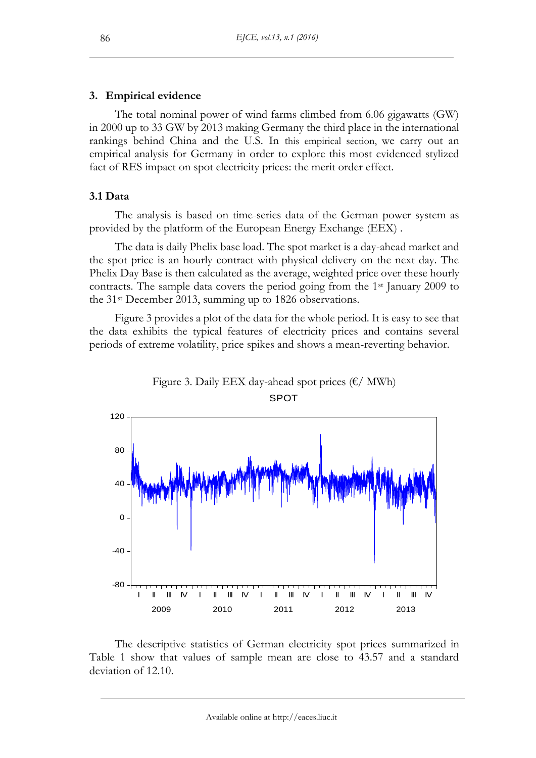## **3. Empirical evidence**

The total nominal power of wind farms climbed from 6.06 gigawatts (GW) in 2000 up to 33 GW by 2013 making Germany the third place in the international rankings behind China and the U.S. In this empirical section, we carry out an empirical analysis for Germany in order to explore this most evidenced stylized fact of RES impact on spot electricity prices: the merit order effect.

# **3.1 Data**

The analysis is based on time-series data of the German power system as provided by the platform of the European Energy Exchange (EEX) .

The data is daily Phelix base load. The spot market is a day-ahead market and the spot price is an hourly contract with physical delivery on the next day. The Phelix Day Base is then calculated as the average, weighted price over these hourly contracts. The sample data covers the period going from the 1st January 2009 to the 31st December 2013, summing up to 1826 observations.

Figure 3 provides a plot of the data for the whole period. It is easy to see that the data exhibits the typical features of electricity prices and contains several periods of extreme volatility, price spikes and shows a mean-reverting behavior.



Figure 3. Daily EEX day-ahead spot prices  $(\epsilon / MWh)$ SPOT

The descriptive statistics of German electricity spot prices summarized in Table 1 show that values of sample mean are close to 43.57 and a standard deviation of 12.10.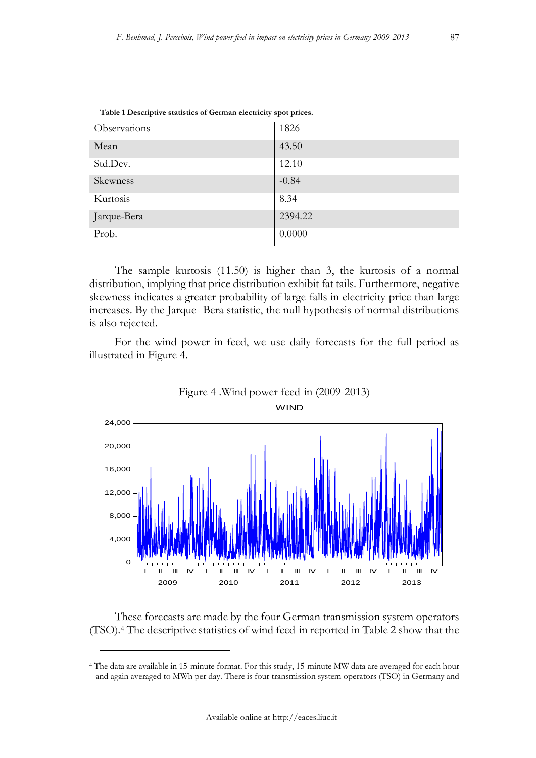| Observations | 1826    |
|--------------|---------|
| Mean         | 43.50   |
| Std.Dev.     | 12.10   |
| Skewness     | $-0.84$ |
| Kurtosis     | 8.34    |
| Jarque-Bera  | 2394.22 |
| Prob.        | 0.0000  |

**Table 1 Descriptive statistics of German electricity spot prices.**

The sample kurtosis (11.50) is higher than 3, the kurtosis of a normal distribution, implying that price distribution exhibit fat tails. Furthermore, negative skewness indicates a greater probability of large falls in electricity price than large increases. By the Jarque- Bera statistic, the null hypothesis of normal distributions is also rejected.

For the wind power in-feed, we use daily forecasts for the full period as illustrated in Figure 4.



Figure 4 .Wind power feed-in (2009-2013)

These forecasts are made by the four German transmission system operators (TSO).<sup>4</sup> The descriptive statistics of wind feed-in reported in Table 2 show that the

<sup>4</sup> The data are available in 15-minute format. For this study, 15-minute MW data are averaged for each hour and again averaged to MWh per day. There is four transmission system operators (TSO) in Germany and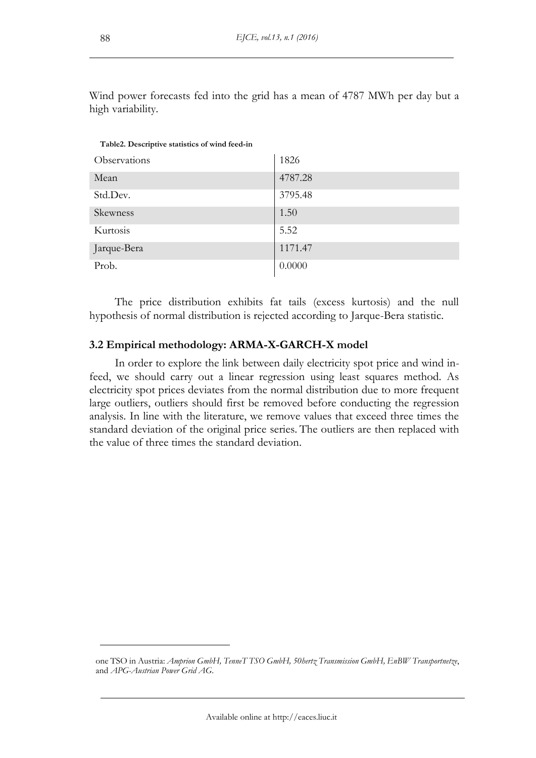| Table2. Descriptive statistics of wind feed-in |         |
|------------------------------------------------|---------|
| Observations                                   | 1826    |
| Mean                                           | 4787.28 |
| Std.Dev.                                       | 3795.48 |
| Skewness                                       | 1.50    |
| Kurtosis                                       | 5.52    |
| Jarque-Bera                                    | 1171.47 |
| Prob.                                          | 0.0000  |

Wind power forecasts fed into the grid has a mean of 4787 MWh per day but a high variability.

The price distribution exhibits fat tails (excess kurtosis) and the null hypothesis of normal distribution is rejected according to Jarque-Bera statistic.

# **3.2 Empirical methodology: ARMA-X-GARCH-X model**

In order to explore the link between daily electricity spot price and wind infeed, we should carry out a linear regression using least squares method. As electricity spot prices deviates from the normal distribution due to more frequent large outliers, outliers should first be removed before conducting the regression analysis. In line with the literature, we remove values that exceed three times the standard deviation of the original price series. The outliers are then replaced with the value of three times the standard deviation.

one TSO in Austria: *Amprion GmbH, TenneT TSO GmbH, 50hertz Transmission GmbH, EnBW Transportnetze*, and *APG-Austrian Power Grid AG*.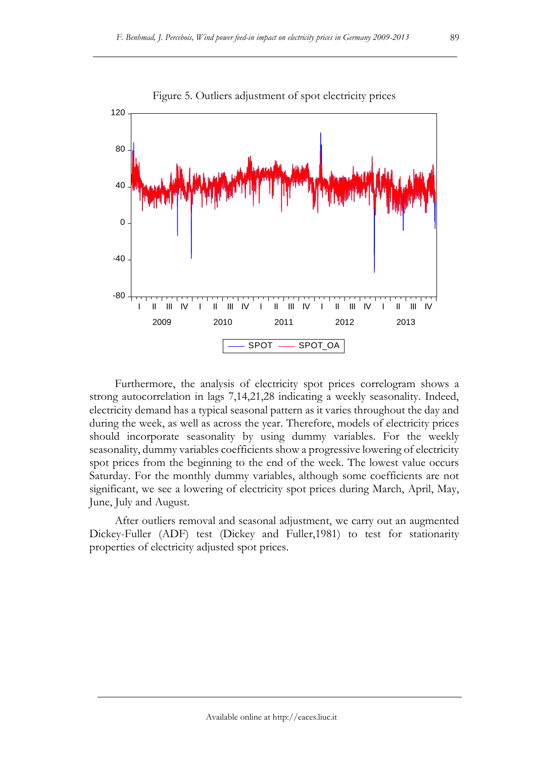

Figure 5. Outliers adjustment of spot electricity prices

Furthermore, the analysis of electricity spot prices correlogram shows a strong autocorrelation in lags 7,14,21,28 indicating a weekly seasonality. Indeed, electricity demand has a typical seasonal pattern as it varies throughout the day and during the week, as well as across the year. Therefore, models of electricity prices should incorporate seasonality by using dummy variables. For the weekly seasonality, dummy variables coefficients show a progressive lowering of electricity spot prices from the beginning to the end of the week. The lowest value occurs Saturday. For the monthly dummy variables, although some coefficients are not significant, we see a lowering of electricity spot prices during March, April, May, June, July and August.

After outliers removal and seasonal adjustment, we carry out an augmented Dickey-Fuller (ADF) test (Dickey and Fuller, 1981) to test for stationarity properties of electricity adjusted spot prices.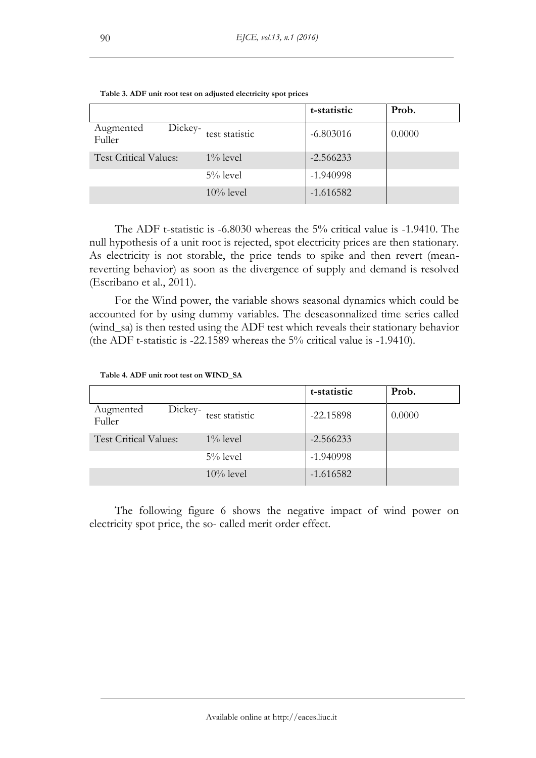|                              |                       | t-statistic | Prob.  |
|------------------------------|-----------------------|-------------|--------|
| Augmented<br>Fuller          | Dickey-test statistic | $-6.803016$ | 0.0000 |
| <b>Test Critical Values:</b> | $1\%$ level           | $-2.566233$ |        |
|                              | $5%$ level            | $-1.940998$ |        |
|                              | $10\%$ level          | $-1.616582$ |        |

**Table 3. ADF unit root test on adjusted electricity spot prices**

The ADF t-statistic is -6.8030 whereas the 5% critical value is -1.9410. The null hypothesis of a unit root is rejected, spot electricity prices are then stationary. As electricity is not storable, the price tends to spike and then revert (meanreverting behavior) as soon as the divergence of supply and demand is resolved (Escribano et al., 2011).

For the Wind power, the variable shows seasonal dynamics which could be accounted for by using dummy variables. The deseasonnalized time series called (wind\_sa) is then tested using the ADF test which reveals their stationary behavior (the ADF t-statistic is -22.1589 whereas the 5% critical value is -1.9410).

|                                |                | t-statistic | Prob.  |
|--------------------------------|----------------|-------------|--------|
| Dickey-<br>Augmented<br>Fuller | test statistic | $-22.15898$ | 0.0000 |
| <b>Test Critical Values:</b>   | $1\%$ level    | $-2.566233$ |        |
|                                | $5%$ level     | $-1.940998$ |        |
|                                | $10\%$ level   | $-1.616582$ |        |

**Table 4. ADF unit root test on WIND\_SA**

The following figure 6 shows the negative impact of wind power on electricity spot price, the so- called merit order effect.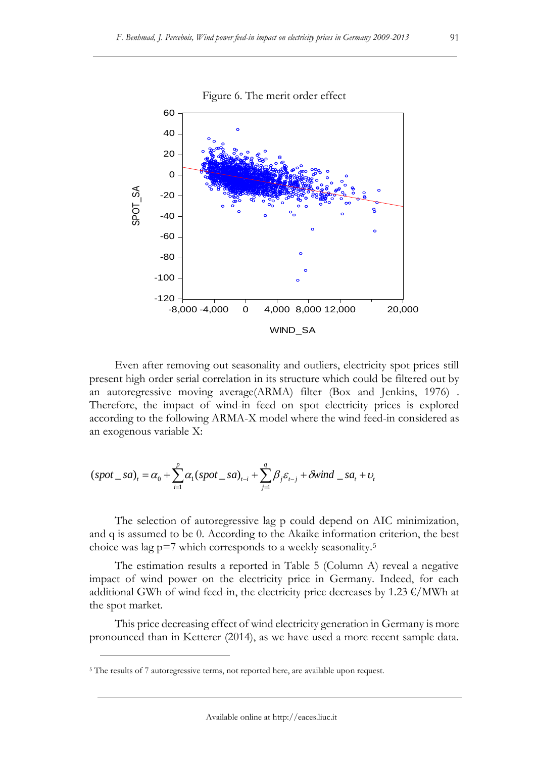

Even after removing out seasonality and outliers, electricity spot prices still present high order serial correlation in its structure which could be filtered out by an autoregressive moving average(ARMA) filter (Box and Jenkins, 1976) . Therefore, the impact of wind-in feed on spot electricity prices is explored according to the following ARMA-X model where the wind feed-in considered as an exogenous variable X:

$$
(spot\_sa)_t = \alpha_0 + \sum_{i=1}^p \alpha_i (spot\_sa)_{t-i} + \sum_{j=1}^q \beta_j \varepsilon_{t-j} + \delta wind\_sa_t + \nu_t
$$

The selection of autoregressive lag p could depend on AIC minimization, and q is assumed to be 0. According to the Akaike information criterion, the best choice was lag p=7 which corresponds to a weekly seasonality.<sup>5</sup>

The estimation results a reported in Table 5 (Column A) reveal a negative impact of wind power on the electricity price in Germany. Indeed, for each additional GWh of wind feed-in, the electricity price decreases by 1.23  $\epsilon$ /MWh at the spot market.

This price decreasing effect of wind electricity generation in Germany is more pronounced than in Ketterer (2014), as we have used a more recent sample data.

<sup>&</sup>lt;sup>5</sup> The results of 7 autoregressive terms, not reported here, are available upon request.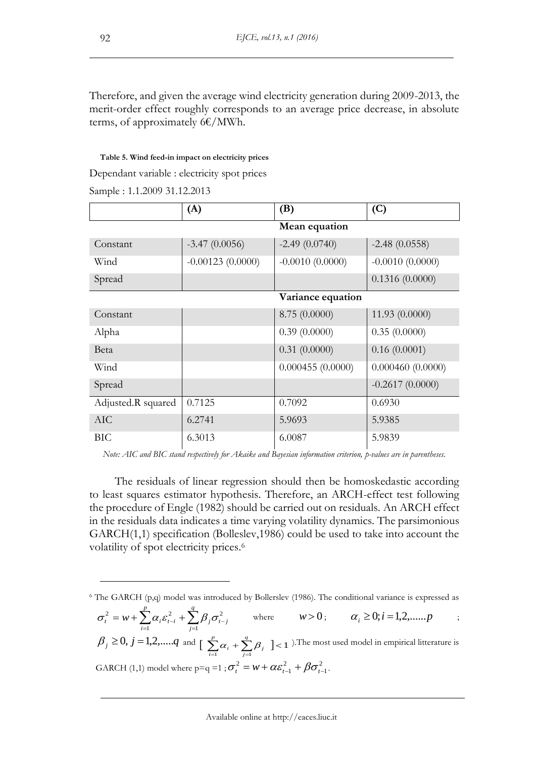Therefore, and given the average wind electricity generation during 2009-2013, the merit-order effect roughly corresponds to an average price decrease, in absolute terms, of approximately  $6 \epsilon /$ MWh.

#### **Table 5. Wind feed-in impact on electricity prices**

Dependant variable : electricity spot prices

Sample : 1.1.2009 31.12.2013

|                    | (A)                | (B)               | (C)               |
|--------------------|--------------------|-------------------|-------------------|
|                    | Mean equation      |                   |                   |
| Constant           | $-3.47(0.0056)$    | $-2.49(0.0740)$   | $-2.48(0.0558)$   |
| Wind               | $-0.00123(0.0000)$ | $-0.0010(0.0000)$ | $-0.0010(0.0000)$ |
| Spread             |                    |                   | 0.1316(0.0000)    |
| Variance equation  |                    |                   |                   |
| Constant           |                    | 8.75 (0.0000)     | 11.93 (0.0000)    |
| Alpha              |                    | 0.39(0.0000)      | 0.35(0.0000)      |
| <b>B</b> eta       |                    | 0.31(0.0000)      | 0.16(0.0001)      |
| Wind               |                    | 0.000455(0.0000)  | 0.000460(0.0000)  |
| Spread             |                    |                   | $-0.2617(0.0000)$ |
| Adjusted.R squared | 0.7125             | 0.7092            | 0.6930            |
| <b>AIC</b>         | 6.2741             | 5.9693            | 5.9385            |
| BІC                | 6.3013             | 6.0087            | 5.9839            |

*Note: AIC and BIC stand respectively for Akaike and Bayesian information criterion, p-values are in parentheses.*

The residuals of linear regression should then be homoskedastic according to least squares estimator hypothesis. Therefore, an ARCH-effect test following the procedure of Engle (1982) should be carried out on residuals. An ARCH effect in the residuals data indicates a time varying volatility dynamics. The parsimonious GARCH(1,1) specification (Bolleslev,1986) could be used to take into account the volatility of spot electricity prices.<sup>6</sup>

<sup>6</sup> The GARCH (p,q) model was introduced by Bollerslev (1986). The conditional variance is expressed as 2 1 2 1 2  $t - j$ *q j*  $_{t-i}$   $\tau$   $\sum$   $P_j$ *p i*  $\frac{c}{t}^2 = w + \sum_{i=1}^n \alpha_i \varepsilon_{t-i}^2 + \sum_{j=1}^n \beta_j \sigma_{t-j}^2$ - $\sigma_i^2 = w + \sum_{i=1}^r \alpha_i \varepsilon_{i-i}^2 + \sum_{j=1}^r \beta_j \sigma_{i-j}^2$  where  $w > 0;$   $\alpha_i \ge 0; i = 1, 2, \dots, p$ ;  $\beta_j \ge 0, j = 1, 2, \dots, q$  and  $\left[ \sum_{i=1}^p \alpha_i + \sum_{j=1}^q \beta_j \right] < 1$ *q*  $\sum_{j=1}^{\infty} P_j$ *p*  $\sum_{i=1}^{p} \alpha_i + \sum_{j=1}^{q} \beta_j$  ] < 1 ). The most used model in empirical litterature is GARCH (1,1) model where p=q =1 ;  $\sigma_t^2 = w + \alpha \varepsilon_{t-1}^2 + \beta \sigma_t^2$ 1 2  $\sigma_t^2 = w + \alpha \varepsilon_{t-1}^2 + \beta \sigma_{t-1}^2$ .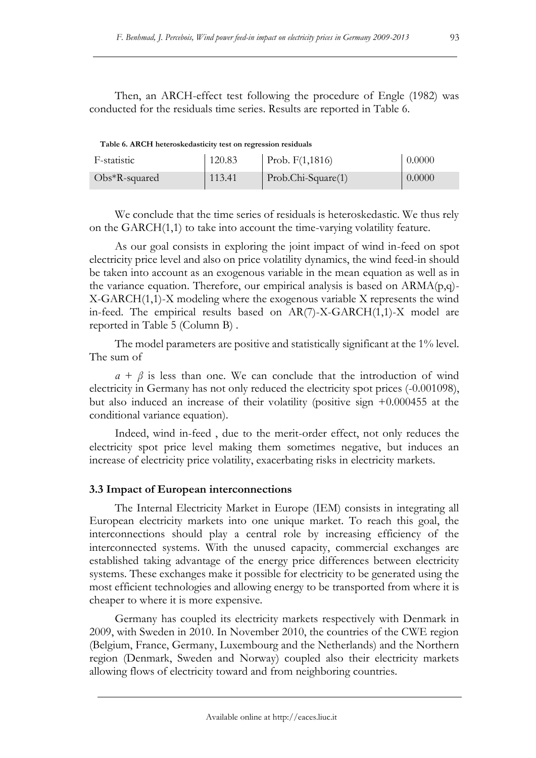Then, an ARCH-effect test following the procedure of Engle (1982) was conducted for the residuals time series. Results are reported in Table 6.

**Table 6. ARCH heteroskedasticity test on regression residuals**

| F-statistic      | 120.83 | Prob. $F(1,1816)$  | 0.0000 |
|------------------|--------|--------------------|--------|
| $Obs*R$ -squared | 113.41 | Prob.Chi-Square(1) | 0.0000 |

We conclude that the time series of residuals is heteroskedastic. We thus rely on the GARCH(1,1) to take into account the time-varying volatility feature.

As our goal consists in exploring the joint impact of wind in-feed on spot electricity price level and also on price volatility dynamics, the wind feed-in should be taken into account as an exogenous variable in the mean equation as well as in the variance equation. Therefore, our empirical analysis is based on  $ARMA(p,q)$ -X-GARCH(1,1)-X modeling where the exogenous variable X represents the wind in-feed. The empirical results based on AR(7)-X-GARCH(1,1)-X model are reported in Table 5 (Column B) .

The model parameters are positive and statistically significant at the 1% level. The sum of

 $a + \beta$  is less than one. We can conclude that the introduction of wind electricity in Germany has not only reduced the electricity spot prices (-0.001098), but also induced an increase of their volatility (positive sign +0.000455 at the conditional variance equation).

Indeed, wind in-feed , due to the merit-order effect, not only reduces the electricity spot price level making them sometimes negative, but induces an increase of electricity price volatility, exacerbating risks in electricity markets.

## **3.3 Impact of European interconnections**

The Internal Electricity Market in Europe (IEM) consists in integrating all European electricity markets into one unique market. To reach this goal, the interconnections should play a central role by increasing efficiency of the interconnected systems. With the unused capacity, commercial exchanges are established taking advantage of the energy price differences between electricity systems. These exchanges make it possible for electricity to be generated using the most efficient technologies and allowing energy to be transported from where it is cheaper to where it is more expensive.

Germany has coupled its electricity markets respectively with Denmark in 2009, with Sweden in 2010. In November 2010, the countries of the CWE region (Belgium, France, Germany, Luxembourg and the Netherlands) and the Northern region (Denmark, Sweden and Norway) coupled also their electricity markets allowing flows of electricity toward and from neighboring countries.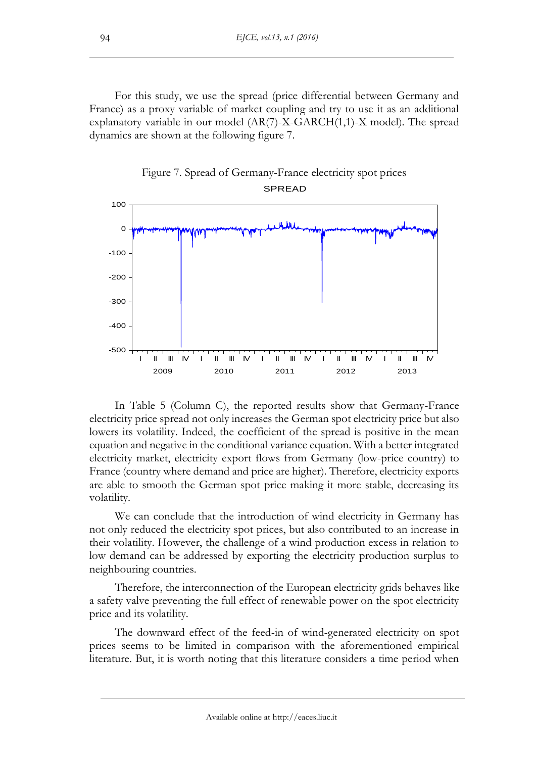For this study, we use the spread (price differential between Germany and France) as a proxy variable of market coupling and try to use it as an additional explanatory variable in our model (AR(7)-X-GARCH(1,1)-X model). The spread dynamics are shown at the following figure 7.



Figure 7. Spread of Germany-France electricity spot prices SPREAD

In Table 5 (Column C), the reported results show that Germany-France electricity price spread not only increases the German spot electricity price but also lowers its volatility. Indeed, the coefficient of the spread is positive in the mean equation and negative in the conditional variance equation. With a better integrated electricity market, electricity export flows from Germany (low-price country) to France (country where demand and price are higher). Therefore, electricity exports are able to smooth the German spot price making it more stable, decreasing its volatility.

We can conclude that the introduction of wind electricity in Germany has not only reduced the electricity spot prices, but also contributed to an increase in their volatility. However, the challenge of a wind production excess in relation to low demand can be addressed by exporting the electricity production surplus to neighbouring countries.

Therefore, the interconnection of the European electricity grids behaves like a safety valve preventing the full effect of renewable power on the spot electricity price and its volatility.

The downward effect of the feed-in of wind-generated electricity on spot prices seems to be limited in comparison with the aforementioned empirical literature. But, it is worth noting that this literature considers a time period when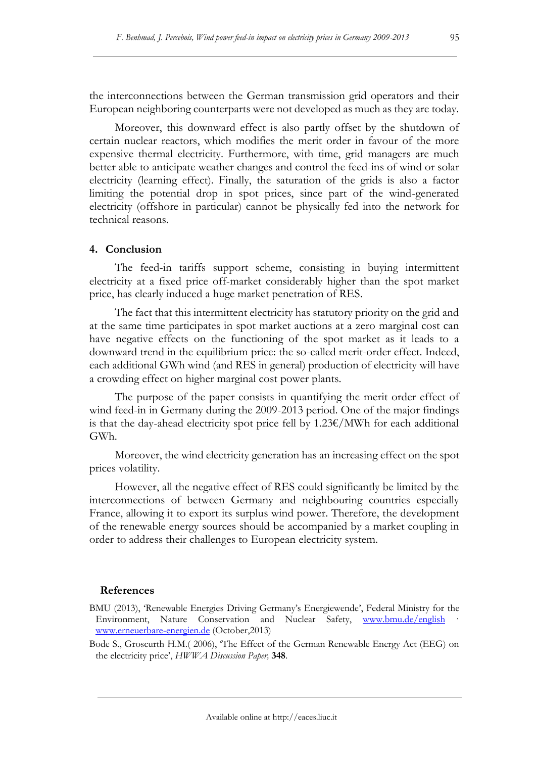the interconnections between the German transmission grid operators and their European neighboring counterparts were not developed as much as they are today.

Moreover, this downward effect is also partly offset by the shutdown of certain nuclear reactors, which modifies the merit order in favour of the more expensive thermal electricity. Furthermore, with time, grid managers are much better able to anticipate weather changes and control the feed-ins of wind or solar electricity (learning effect). Finally, the saturation of the grids is also a factor limiting the potential drop in spot prices, since part of the wind-generated electricity (offshore in particular) cannot be physically fed into the network for technical reasons.

# **4. Conclusion**

The feed-in tariffs support scheme, consisting in buying intermittent electricity at a fixed price off-market considerably higher than the spot market price, has clearly induced a huge market penetration of RES.

The fact that this intermittent electricity has statutory priority on the grid and at the same time participates in spot market auctions at a zero marginal cost can have negative effects on the functioning of the spot market as it leads to a downward trend in the equilibrium price: the so-called merit-order effect. Indeed, each additional GWh wind (and RES in general) production of electricity will have a crowding effect on higher marginal cost power plants.

The purpose of the paper consists in quantifying the merit order effect of wind feed-in in Germany during the 2009-2013 period. One of the major findings is that the day-ahead electricity spot price fell by 1.23€/MWh for each additional GWh.

Moreover, the wind electricity generation has an increasing effect on the spot prices volatility.

However, all the negative effect of RES could significantly be limited by the interconnections of between Germany and neighbouring countries especially France, allowing it to export its surplus wind power. Therefore, the development of the renewable energy sources should be accompanied by a market coupling in order to address their challenges to European electricity system.

## **References**

BMU (2013), 'Renewable Energies Driving Germany's Energiewende', Federal Ministry for the Environment, Nature Conservation and Nuclear Safety, [www.bmu.de/english](file:///H:/eaces/www.bmu.de/english) [www.erneuerbare-energien.de](http://www.erneuerbare-energien.de/) (October,2013)

Bode S., Groscurth H.M.( 2006), 'The Effect of the German Renewable Energy Act (EEG) on the electricity price', *HWWA Discussion Paper,* **348**.